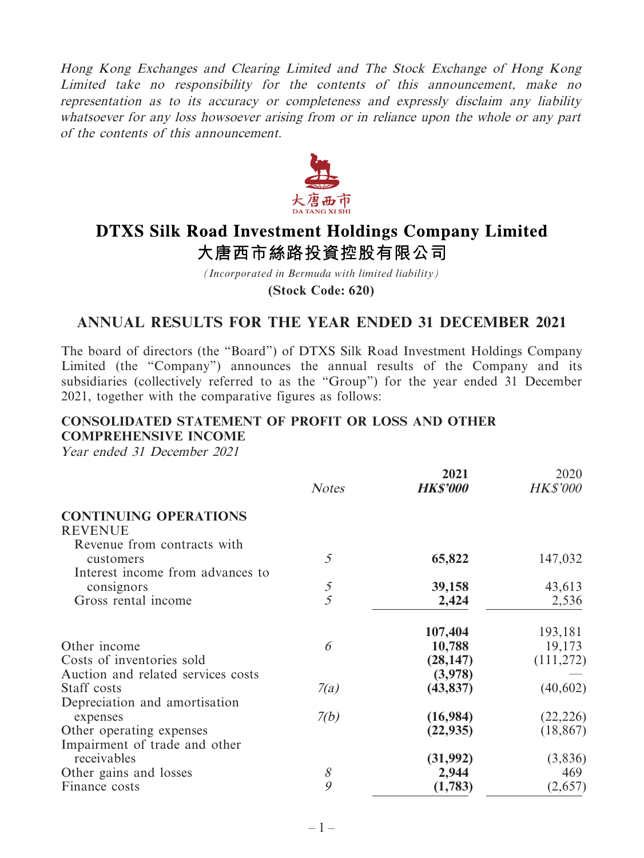Hong Kong Exchanges and Clearing Limited and The Stock Exchange of Hong Kong Limited take no responsibility for the contents of this announcement, make no representation as to its accuracy or completeness and expressly disclaim any liability whatsoever for any loss howsoever arising from or in reliance upon the whole or any part of the contents of this announcement.



# **DTXS Silk Road Investment Holdings Company Limited** 大唐西市絲路投資控股有限公司

*(Incorporated in Bermuda with limited liability)*

**(Stock Code: 620)**

# **ANNUAL RESULTS FOR THE YEAR ENDED 31 DECEMBER 2021**

The board of directors (the "Board") of DTXS Silk Road Investment Holdings Company Limited (the "Company") announces the annual results of the Company and its subsidiaries (collectively referred to as the "Group") for the year ended 31 December 2021, together with the comparative figures as follows:

# **CONSOLIDATED STATEMENT OF PROFIT OR LOSS AND OTHER COMPREHENSIVE INCOME**

Year ended 31 December 2021

|                                    |                | 2021            | 2020            |
|------------------------------------|----------------|-----------------|-----------------|
|                                    | <b>Notes</b>   | <b>HK\$'000</b> | <b>HK\$'000</b> |
| <b>CONTINUING OPERATIONS</b>       |                |                 |                 |
| <b>REVENUE</b>                     |                |                 |                 |
| Revenue from contracts with        |                |                 |                 |
| customers                          | 5              | 65,822          | 147,032         |
| Interest income from advances to   |                |                 |                 |
| consignors                         | $\mathfrak{I}$ | 39,158          | 43,613          |
| Gross rental income                | 5              | 2,424           | 2,536           |
|                                    |                | 107,404         | 193,181         |
| Other income                       | 6              | 10,788          | 19,173          |
| Costs of inventories sold          |                | (28, 147)       | (111, 272)      |
| Auction and related services costs |                | (3,978)         |                 |
| Staff costs                        | 7(a)           | (43, 837)       | (40, 602)       |
| Depreciation and amortisation      |                |                 |                 |
| expenses                           | 7(b)           | (16,984)        | (22, 226)       |
| Other operating expenses           |                | (22, 935)       | (18, 867)       |
| Impairment of trade and other      |                |                 |                 |
| receivables                        |                | (31,992)        | (3,836)         |
| Other gains and losses             | 8              | 2,944           | 469             |
| Finance costs                      | 9              | (1,783)         | (2,657)         |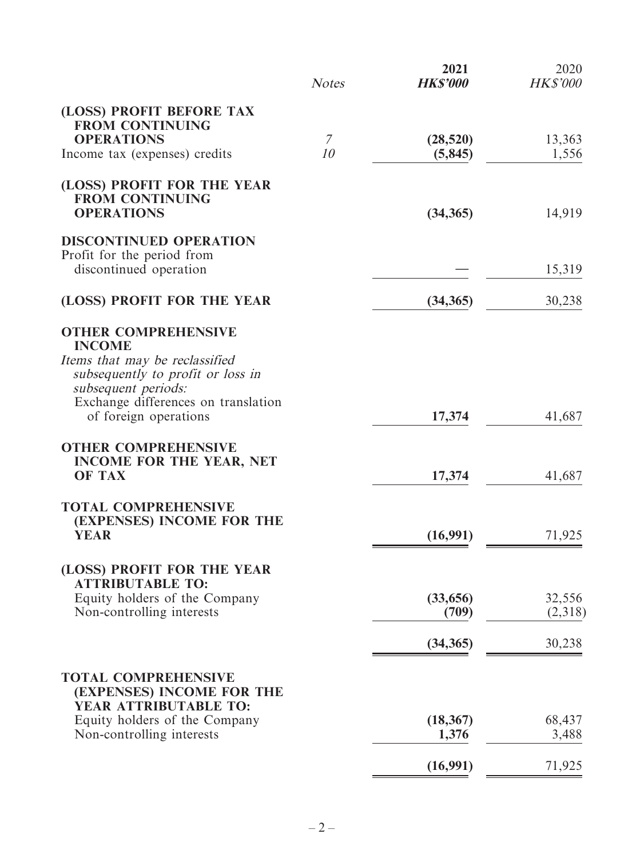|                                                                                                                                           | <b>Notes</b>   | 2021<br><b>HK\$'000</b> | 2020<br><b>HK\$'000</b> |
|-------------------------------------------------------------------------------------------------------------------------------------------|----------------|-------------------------|-------------------------|
| (LOSS) PROFIT BEFORE TAX<br><b>FROM CONTINUING</b><br><b>OPERATIONS</b>                                                                   | $\overline{7}$ | (28, 520)               | 13,363                  |
| Income tax (expenses) credits                                                                                                             | 10             | (5, 845)                | 1,556                   |
| (LOSS) PROFIT FOR THE YEAR<br><b>FROM CONTINUING</b><br><b>OPERATIONS</b>                                                                 |                | (34, 365)               | 14,919                  |
| <b>DISCONTINUED OPERATION</b><br>Profit for the period from<br>discontinued operation                                                     |                |                         | 15,319                  |
| (LOSS) PROFIT FOR THE YEAR                                                                                                                |                | (34, 365)               | 30,238                  |
| <b>OTHER COMPREHENSIVE</b><br><b>INCOME</b><br>Items that may be reclassified<br>subsequently to profit or loss in<br>subsequent periods: |                |                         |                         |
| Exchange differences on translation<br>of foreign operations                                                                              |                | 17,374                  | 41,687                  |
| <b>OTHER COMPREHENSIVE</b><br><b>INCOME FOR THE YEAR, NET</b><br><b>OF TAX</b>                                                            |                | 17,374                  | 41,687                  |
| <b>TOTAL COMPREHENSIVE</b><br>(EXPENSES) INCOME FOR THE<br><b>YEAR</b>                                                                    |                | (16,991)                | 71,925                  |
| (LOSS) PROFIT FOR THE YEAR<br><b>ATTRIBUTABLE TO:</b>                                                                                     |                |                         |                         |
| Equity holders of the Company<br>Non-controlling interests                                                                                |                | (33,656)<br>(709)       | 32,556<br>(2,318)       |
|                                                                                                                                           |                | (34, 365)               | 30,238                  |
| <b>TOTAL COMPREHENSIVE</b><br>(EXPENSES) INCOME FOR THE<br>YEAR ATTRIBUTABLE TO:                                                          |                |                         |                         |
| Equity holders of the Company<br>Non-controlling interests                                                                                |                | (18, 367)<br>1,376      | 68,437<br>3,488         |
|                                                                                                                                           |                | (16,991)                | 71,925                  |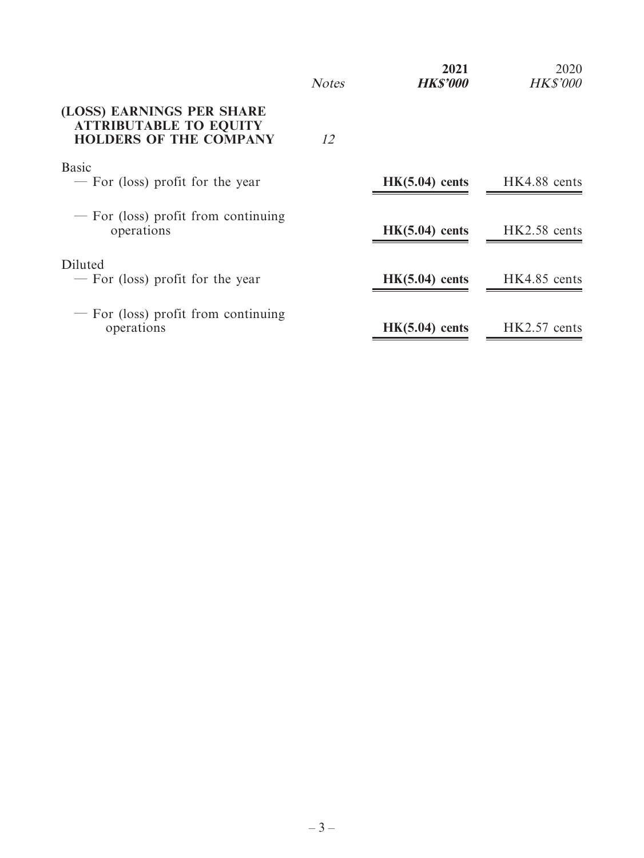|                                                                                             | <b>Notes</b> | 2021<br><b>HK\$'000</b> | 2020<br><b>HK\$'000</b> |
|---------------------------------------------------------------------------------------------|--------------|-------------------------|-------------------------|
| (LOSS) EARNINGS PER SHARE<br><b>ATTRIBUTABLE TO EQUITY</b><br><b>HOLDERS OF THE COMPANY</b> | 12           |                         |                         |
| <b>Basic</b><br>- For (loss) profit for the year                                            |              | $HK(5.04)$ cents        | HK4.88 cents            |
| - For (loss) profit from continuing<br>operations                                           |              | $HK(5.04)$ cents        | HK2.58 cents            |
| Diluted<br>- For (loss) profit for the year                                                 |              | $HK(5.04)$ cents        | HK4.85 cents            |
| $-$ For (loss) profit from continuing<br>operations                                         |              | $HK(5.04)$ cents        | $HK2.57$ cents          |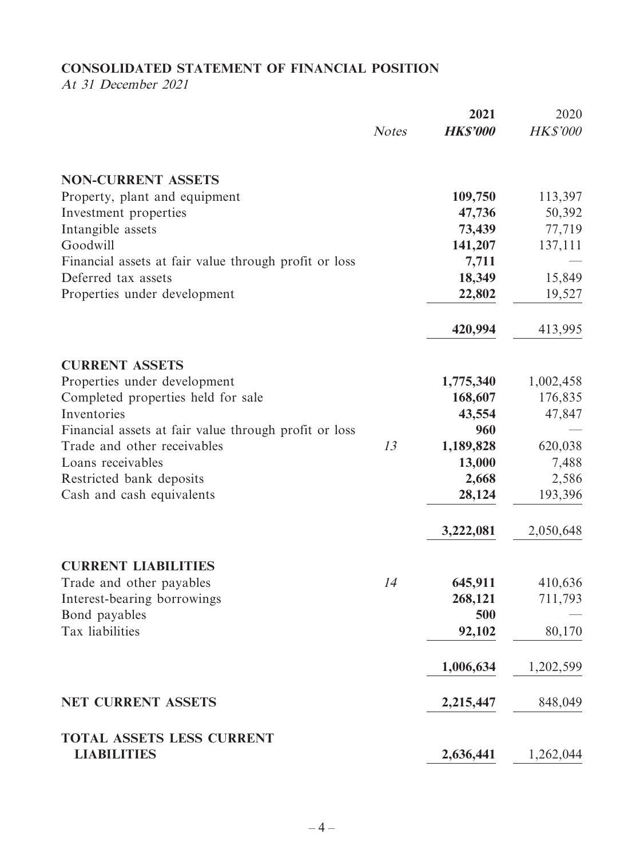# **CONSOLIDATED STATEMENT OF FINANCIAL POSITION**

At 31 December 2021

|                                                       |              | 2021            | 2020            |
|-------------------------------------------------------|--------------|-----------------|-----------------|
|                                                       | <b>Notes</b> | <b>HK\$'000</b> | <b>HK\$'000</b> |
| <b>NON-CURRENT ASSETS</b>                             |              |                 |                 |
| Property, plant and equipment                         |              | 109,750         | 113,397         |
| Investment properties                                 |              | 47,736          | 50,392          |
| Intangible assets                                     |              | 73,439          | 77,719          |
| Goodwill                                              |              | 141,207         | 137,111         |
| Financial assets at fair value through profit or loss |              | 7,711           |                 |
| Deferred tax assets                                   |              | 18,349          | 15,849          |
| Properties under development                          |              | 22,802          | 19,527          |
|                                                       |              | 420,994         | 413,995         |
| <b>CURRENT ASSETS</b>                                 |              |                 |                 |
| Properties under development                          |              | 1,775,340       | 1,002,458       |
| Completed properties held for sale                    |              | 168,607         | 176,835         |
| Inventories                                           |              | 43,554          | 47,847          |
| Financial assets at fair value through profit or loss |              | 960             |                 |
| Trade and other receivables                           | 13           | 1,189,828       | 620,038         |
| Loans receivables                                     |              | 13,000          | 7,488           |
| Restricted bank deposits                              |              | 2,668           | 2,586           |
| Cash and cash equivalents                             |              | 28,124          | 193,396         |
|                                                       |              | 3,222,081       | 2,050,648       |
| <b>CURRENT LIABILITIES</b>                            |              |                 |                 |
| Trade and other payables                              | 14           | 645,911         | 410,636         |
| Interest-bearing borrowings                           |              | 268,121         | 711,793         |
| Bond payables                                         |              | 500             |                 |
| Tax liabilities                                       |              | 92,102          | 80,170          |
|                                                       |              | 1,006,634       | 1,202,599       |
| <b>NET CURRENT ASSETS</b>                             |              | 2,215,447       | 848,049         |
| <b>TOTAL ASSETS LESS CURRENT</b>                      |              |                 |                 |
| <b>LIABILITIES</b>                                    |              | 2,636,441       | 1,262,044       |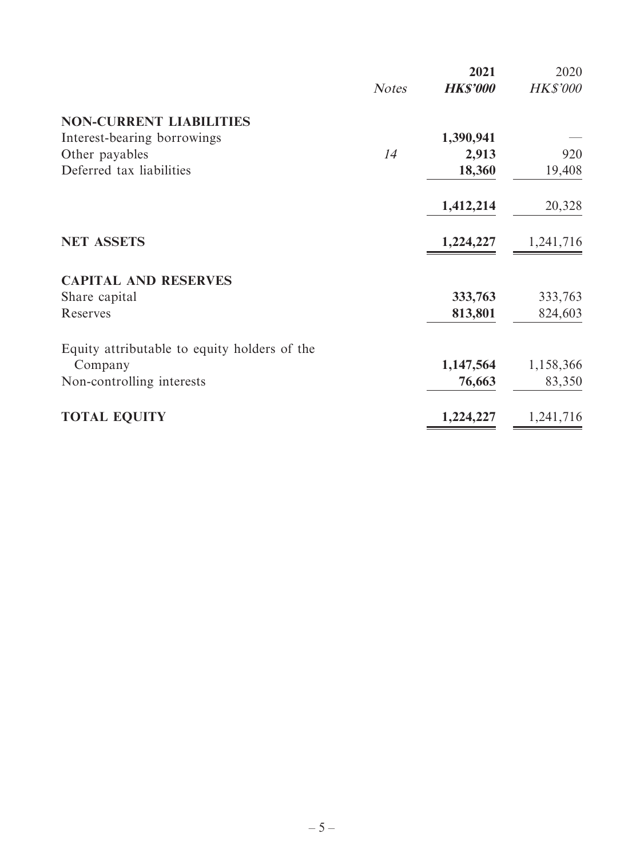|              | 2021            | 2020            |
|--------------|-----------------|-----------------|
| <b>Notes</b> | <b>HK\$'000</b> | <b>HK\$'000</b> |
|              |                 |                 |
|              | 1,390,941       |                 |
| 14           | 2,913           | 920             |
|              | 18,360          | 19,408          |
|              | 1,412,214       | 20,328          |
|              | 1,224,227       | 1,241,716       |
|              |                 |                 |
|              | 333,763         | 333,763         |
|              | 813,801         | 824,603         |
|              |                 |                 |
|              | 1,147,564       | 1,158,366       |
|              | 76,663          | 83,350          |
|              | 1,224,227       | 1,241,716       |
|              |                 |                 |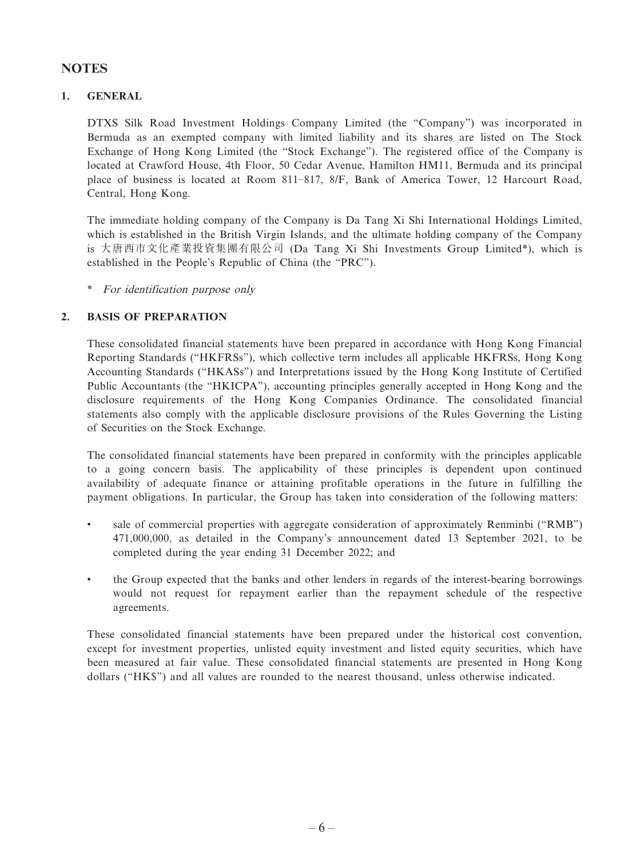# **NOTES**

### **1. GENERAL**

DTXS Silk Road Investment Holdings Company Limited (the "Company") was incorporated in Bermuda as an exempted company with limited liability and its shares are listed on The Stock Exchange of Hong Kong Limited (the "Stock Exchange"). The registered office of the Company is located at Crawford House, 4th Floor, 50 Cedar Avenue, Hamilton HM11, Bermuda and its principal place of business is located at Room 811–817, 8/F, Bank of America Tower, 12 Harcourt Road, Central, Hong Kong.

The immediate holding company of the Company is Da Tang Xi Shi International Holdings Limited, which is established in the British Virgin Islands, and the ultimate holding company of the Company is 大唐西市文化產業投資集團有限公司 (Da Tang Xi Shi Investments Group Limited\*), which is established in the People's Republic of China (the "PRC").

\* For identification purpose only

### **2. BASIS OF PREPARATION**

These consolidated financial statements have been prepared in accordance with Hong Kong Financial Reporting Standards ("HKFRSs"), which collective term includes all applicable HKFRSs, Hong Kong Accounting Standards ("HKASs") and Interpretations issued by the Hong Kong Institute of Certified Public Accountants (the "HKICPA"), accounting principles generally accepted in Hong Kong and the disclosure requirements of the Hong Kong Companies Ordinance. The consolidated financial statements also comply with the applicable disclosure provisions of the Rules Governing the Listing of Securities on the Stock Exchange.

The consolidated financial statements have been prepared in conformity with the principles applicable to a going concern basis. The applicability of these principles is dependent upon continued availability of adequate finance or attaining profitable operations in the future in fulfilling the payment obligations. In particular, the Group has taken into consideration of the following matters:

- sale of commercial properties with aggregate consideration of approximately Renminbi ("RMB") 471,000,000, as detailed in the Company's announcement dated 13 September 2021, to be completed during the year ending 31 December 2022; and
- the Group expected that the banks and other lenders in regards of the interest-bearing borrowings would not request for repayment earlier than the repayment schedule of the respective agreements.

These consolidated financial statements have been prepared under the historical cost convention, except for investment properties, unlisted equity investment and listed equity securities, which have been measured at fair value. These consolidated financial statements are presented in Hong Kong dollars ("HK\$") and all values are rounded to the nearest thousand, unless otherwise indicated.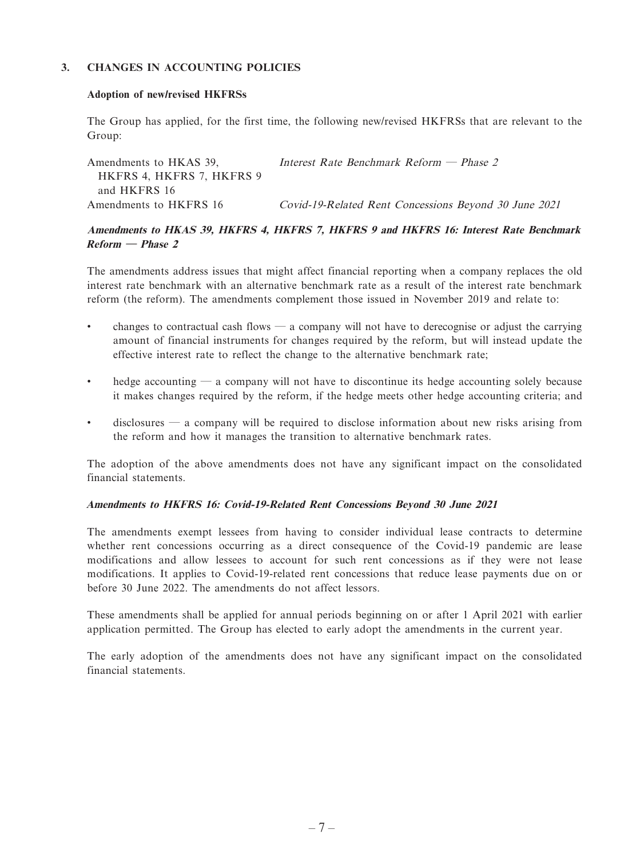### **3. CHANGES IN ACCOUNTING POLICIES**

#### **Adoption of new/revised HKFRSs**

The Group has applied, for the first time, the following new/revised HKFRSs that are relevant to the Group:

| Amendments to HKAS 39.<br>HKFRS 4, HKFRS 7, HKFRS 9 | Interest Rate Benchmark Reform — Phase 2              |  |
|-----------------------------------------------------|-------------------------------------------------------|--|
| and HKFRS 16                                        |                                                       |  |
| Amendments to HKFRS 16                              | Covid-19-Related Rent Concessions Beyond 30 June 2021 |  |

### **Amendments to HKAS 39, HKFRS 4, HKFRS 7, HKFRS 9 and HKFRS 16: Interest Rate Benchmark Reform — Phase 2**

The amendments address issues that might affect financial reporting when a company replaces the old interest rate benchmark with an alternative benchmark rate as a result of the interest rate benchmark reform (the reform). The amendments complement those issued in November 2019 and relate to:

- changes to contractual cash flows  $\frac{1}{2}$  a company will not have to derecognise or adjust the carrying amount of financial instruments for changes required by the reform, but will instead update the effective interest rate to reflect the change to the alternative benchmark rate;
- hedge accounting a company will not have to discontinue its hedge accounting solely because it makes changes required by the reform, if the hedge meets other hedge accounting criteria; and
- disclosures  $\sim$  a company will be required to disclose information about new risks arising from the reform and how it manages the transition to alternative benchmark rates.

The adoption of the above amendments does not have any significant impact on the consolidated financial statements.

#### **Amendments to HKFRS 16: Covid-19-Related Rent Concessions Beyond 30 June 2021**

The amendments exempt lessees from having to consider individual lease contracts to determine whether rent concessions occurring as a direct consequence of the Covid-19 pandemic are lease modifications and allow lessees to account for such rent concessions as if they were not lease modifications. It applies to Covid-19-related rent concessions that reduce lease payments due on or before 30 June 2022. The amendments do not affect lessors.

These amendments shall be applied for annual periods beginning on or after 1 April 2021 with earlier application permitted. The Group has elected to early adopt the amendments in the current year.

The early adoption of the amendments does not have any significant impact on the consolidated financial statements.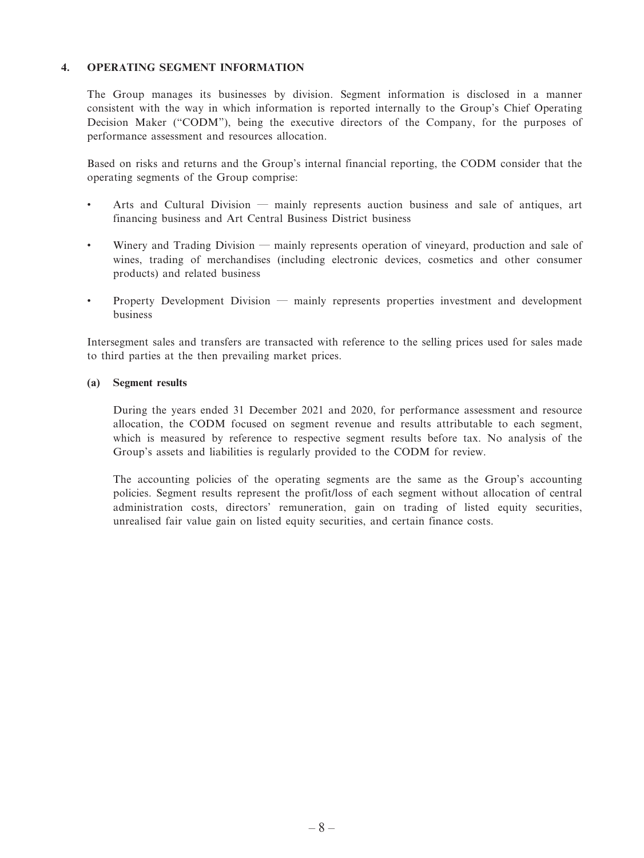### **4. OPERATING SEGMENT INFORMATION**

The Group manages its businesses by division. Segment information is disclosed in a manner consistent with the way in which information is reported internally to the Group's Chief Operating Decision Maker ("CODM"), being the executive directors of the Company, for the purposes of performance assessment and resources allocation.

Based on risks and returns and the Group's internal financial reporting, the CODM consider that the operating segments of the Group comprise:

- Arts and Cultural Division mainly represents auction business and sale of antiques, art financing business and Art Central Business District business
- Winery and Trading Division mainly represents operation of vineyard, production and sale of wines, trading of merchandises (including electronic devices, cosmetics and other consumer products) and related business
- Property Development Division mainly represents properties investment and development business

Intersegment sales and transfers are transacted with reference to the selling prices used for sales made to third parties at the then prevailing market prices.

#### **(a) Segment results**

During the years ended 31 December 2021 and 2020, for performance assessment and resource allocation, the CODM focused on segment revenue and results attributable to each segment, which is measured by reference to respective segment results before tax. No analysis of the Group's assets and liabilities is regularly provided to the CODM for review.

The accounting policies of the operating segments are the same as the Group's accounting policies. Segment results represent the profit/loss of each segment without allocation of central administration costs, directors' remuneration, gain on trading of listed equity securities, unrealised fair value gain on listed equity securities, and certain finance costs.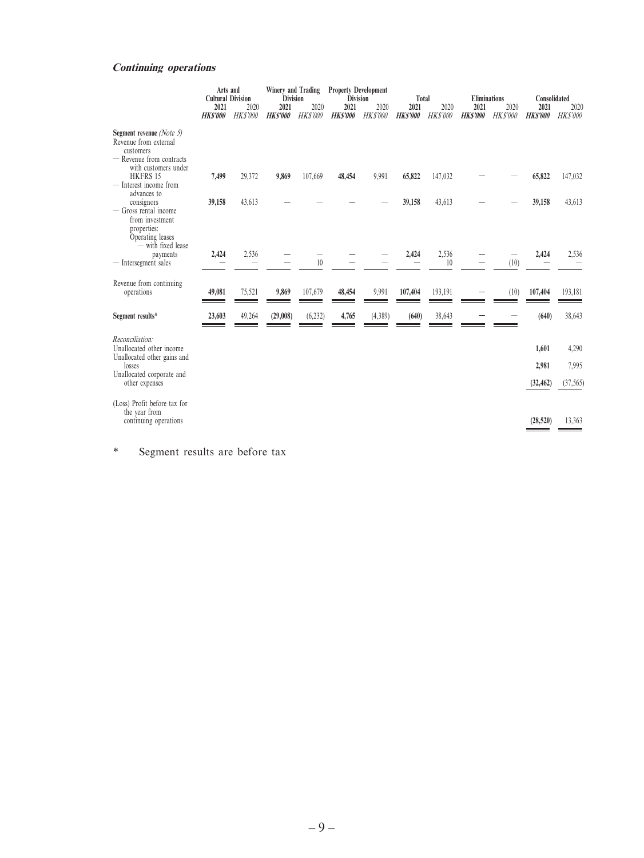### **Continuing operations**

|                                                                                                                    | Arts and<br><b>Cultural Division</b> |                         |                        |                         |                        | Winery and Trading<br><b>Division</b> |                        | <b>Property Development</b><br><b>Division</b> | Total                  |                         | <b>Eliminations</b>    |                         | Consolidated |  |
|--------------------------------------------------------------------------------------------------------------------|--------------------------------------|-------------------------|------------------------|-------------------------|------------------------|---------------------------------------|------------------------|------------------------------------------------|------------------------|-------------------------|------------------------|-------------------------|--------------|--|
|                                                                                                                    | 2021<br><b>HKS'000</b>               | 2020<br><b>HK\$'000</b> | 2021<br><b>HKS'000</b> | 2020<br><b>HK\$'000</b> | 2021<br><b>HKS'000</b> | 2020<br><b>HK\$'000</b>               | 2021<br><b>HKS'000</b> | 2020<br><b>HK\$'000</b>                        | 2021<br><b>HKS'000</b> | 2020<br><b>HK\$'000</b> | 2021<br><b>HKS'000</b> | 2020<br><b>HK\$'000</b> |              |  |
| Segment revenue (Note 5)<br>Revenue from external<br>customers<br>- Revenue from contracts<br>with customers under |                                      |                         |                        |                         |                        |                                       |                        |                                                |                        |                         |                        |                         |              |  |
| <b>HKFRS 15</b><br>- Interest income from<br>advances to                                                           | 7,499                                | 29,372                  | 9,869                  | 107,669                 | 48,454                 | 9,991                                 | 65,822                 | 147,032                                        |                        |                         | 65,822                 | 147,032                 |              |  |
| consignors<br>— Gross rental income<br>from investment<br>properties:<br>Operating leases<br>- with fixed lease    | 39,158                               | 43,613                  |                        |                         |                        |                                       | 39,158                 | 43,613                                         |                        |                         | 39,158                 | 43,613                  |              |  |
| payments<br>Intersegment sales                                                                                     | 2,424                                | 2,536                   |                        | 10                      |                        |                                       | 2,424                  | 2,536<br>10                                    |                        | (10)                    | 2,424                  | 2,536                   |              |  |
| Revenue from continuing<br>operations                                                                              | 49,081                               | 75,521                  | 9,869                  | 107,679                 | 48,454                 | 9,991                                 | 107,404                | 193,191                                        |                        | (10)                    | 107,404                | 193,181                 |              |  |
| Segment results*                                                                                                   | 23,603                               | 49,264                  | (29,008)               | (6, 232)                | 4,765                  | (4,389)                               | (640)                  | 38,643                                         |                        |                         | (640)                  | 38,643                  |              |  |
| Reconciliation:<br>Unallocated other income<br>Unallocated other gains and                                         |                                      |                         |                        |                         |                        |                                       |                        |                                                |                        |                         | 1,601                  | 4,290                   |              |  |
| losses<br>Unallocated corporate and                                                                                |                                      |                         |                        |                         |                        |                                       |                        |                                                |                        |                         | 2,981                  | 7,995                   |              |  |
| other expenses                                                                                                     |                                      |                         |                        |                         |                        |                                       |                        |                                                |                        |                         | (32, 462)              | (37, 565)               |              |  |
| (Loss) Profit before tax for<br>the year from<br>continuing operations                                             |                                      |                         |                        |                         |                        |                                       |                        |                                                |                        |                         | (28, 520)              | 13,363                  |              |  |
|                                                                                                                    |                                      |                         |                        |                         |                        |                                       |                        |                                                |                        |                         |                        |                         |              |  |

\* Segment results are before tax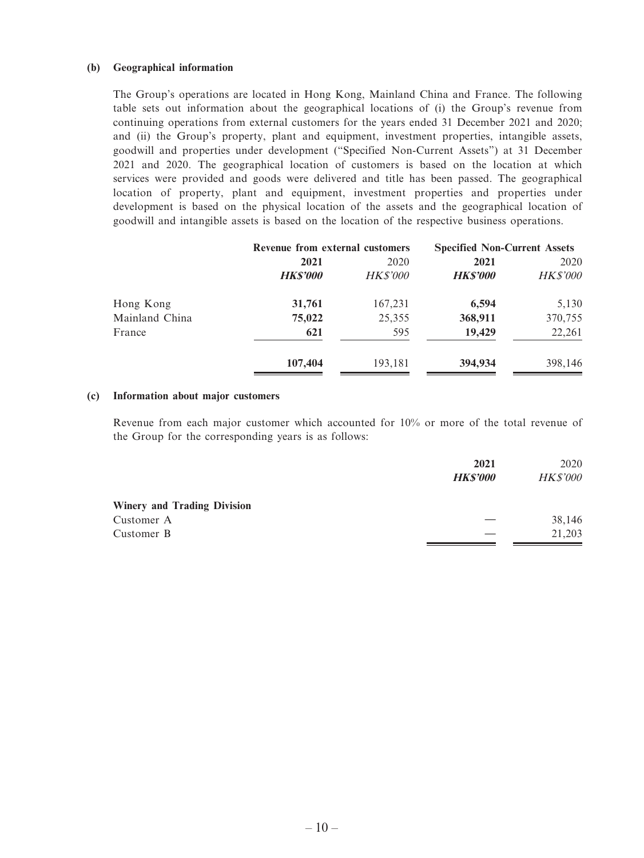#### **(b) Geographical information**

The Group's operations are located in Hong Kong, Mainland China and France. The following table sets out information about the geographical locations of (i) the Group's revenue from continuing operations from external customers for the years ended 31 December 2021 and 2020; and (ii) the Group's property, plant and equipment, investment properties, intangible assets, goodwill and properties under development ("Specified Non-Current Assets") at 31 December 2021 and 2020. The geographical location of customers is based on the location at which services were provided and goods were delivered and title has been passed. The geographical location of property, plant and equipment, investment properties and properties under development is based on the physical location of the assets and the geographical location of goodwill and intangible assets is based on the location of the respective business operations.

|                | Revenue from external customers |                 | <b>Specified Non-Current Assets</b> |                 |
|----------------|---------------------------------|-----------------|-------------------------------------|-----------------|
|                | 2021                            | 2020            | 2021                                | 2020            |
|                | <b>HKS'000</b>                  | <b>HK\$'000</b> | <b>HKS'000</b>                      | <b>HK\$'000</b> |
| Hong Kong      | 31,761                          | 167,231         | 6,594                               | 5,130           |
| Mainland China | 75,022                          | 25,355          | 368,911                             | 370,755         |
| France         | 621                             | 595             | 19,429                              | 22,261          |
|                | 107,404                         | 193,181         | 394,934                             | 398,146         |

#### **(c) Information about major customers**

Revenue from each major customer which accounted for 10% or more of the total revenue of the Group for the corresponding years is as follows:

|                                    | 2021           | 2020            |
|------------------------------------|----------------|-----------------|
|                                    | <b>HKS'000</b> | <b>HK\$'000</b> |
| <b>Winery and Trading Division</b> |                |                 |
| Customer A                         |                | 38,146          |
| Customer B                         |                | 21,203          |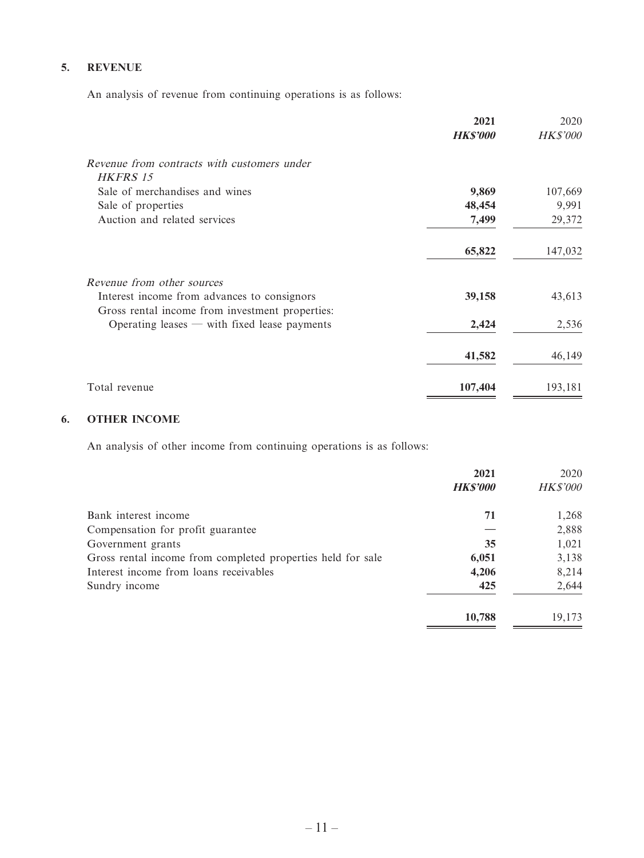### **5. REVENUE**

An analysis of revenue from continuing operations is as follows:

|                                                                                                | 2021            | 2020            |
|------------------------------------------------------------------------------------------------|-----------------|-----------------|
|                                                                                                | <b>HK\$'000</b> | <b>HK\$'000</b> |
| Revenue from contracts with customers under<br>HKFRS 15                                        |                 |                 |
| Sale of merchandises and wines                                                                 | 9,869           | 107,669         |
| Sale of properties                                                                             | 48,454          | 9,991           |
| Auction and related services                                                                   | 7,499           | 29,372          |
|                                                                                                | 65,822          | 147,032         |
| Revenue from other sources                                                                     |                 |                 |
| Interest income from advances to consignors<br>Gross rental income from investment properties: | 39,158          | 43,613          |
| Operating leases $-$ with fixed lease payments                                                 | 2,424           | 2,536           |
|                                                                                                | 41,582          | 46,149          |
| Total revenue                                                                                  | 107,404         | 193,181         |

# **6. OTHER INCOME**

An analysis of other income from continuing operations is as follows:

|                                                             | 2021            | 2020            |
|-------------------------------------------------------------|-----------------|-----------------|
|                                                             | <b>HK\$'000</b> | <b>HK\$'000</b> |
| Bank interest income                                        | 71              | 1,268           |
| Compensation for profit guarantee                           |                 | 2,888           |
| Government grants                                           | 35              | 1,021           |
| Gross rental income from completed properties held for sale | 6,051           | 3,138           |
| Interest income from loans receivables                      | 4,206           | 8,214           |
| Sundry income                                               | 425             | 2,644           |
|                                                             | 10,788          | 19,173          |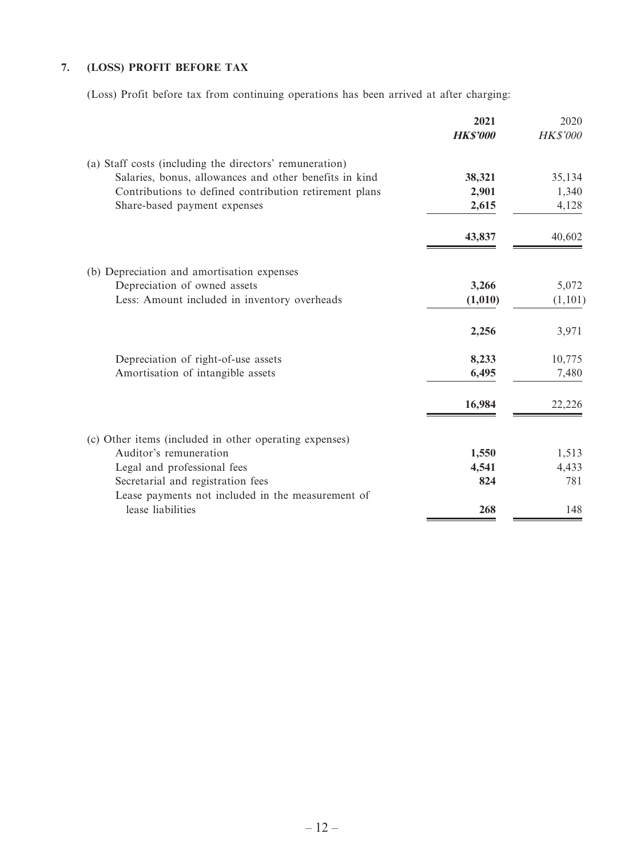# **7. (LOSS) PROFIT BEFORE TAX**

(Loss) Profit before tax from continuing operations has been arrived at after charging:

|                                                         | 2021<br><b>HKS'000</b> | 2020<br><b>HK\$'000</b> |
|---------------------------------------------------------|------------------------|-------------------------|
| (a) Staff costs (including the directors' remuneration) |                        |                         |
| Salaries, bonus, allowances and other benefits in kind  | 38,321                 | 35,134                  |
| Contributions to defined contribution retirement plans  | 2,901                  | 1,340                   |
| Share-based payment expenses                            | 2,615                  | 4,128                   |
|                                                         | 43,837                 | 40,602                  |
| (b) Depreciation and amortisation expenses              |                        |                         |
| Depreciation of owned assets                            | 3,266                  | 5,072                   |
| Less: Amount included in inventory overheads            | (1,010)                | (1,101)                 |
|                                                         | 2,256                  | 3,971                   |
| Depreciation of right-of-use assets                     | 8,233                  | 10,775                  |
| Amortisation of intangible assets                       | 6,495                  | 7,480                   |
|                                                         | 16,984                 | 22,226                  |
| (c) Other items (included in other operating expenses)  |                        |                         |
| Auditor's remuneration                                  | 1,550                  | 1,513                   |
| Legal and professional fees                             | 4,541                  | 4,433                   |
| Secretarial and registration fees                       | 824                    | 781                     |
| Lease payments not included in the measurement of       |                        |                         |
| lease liabilities                                       | 268                    | 148                     |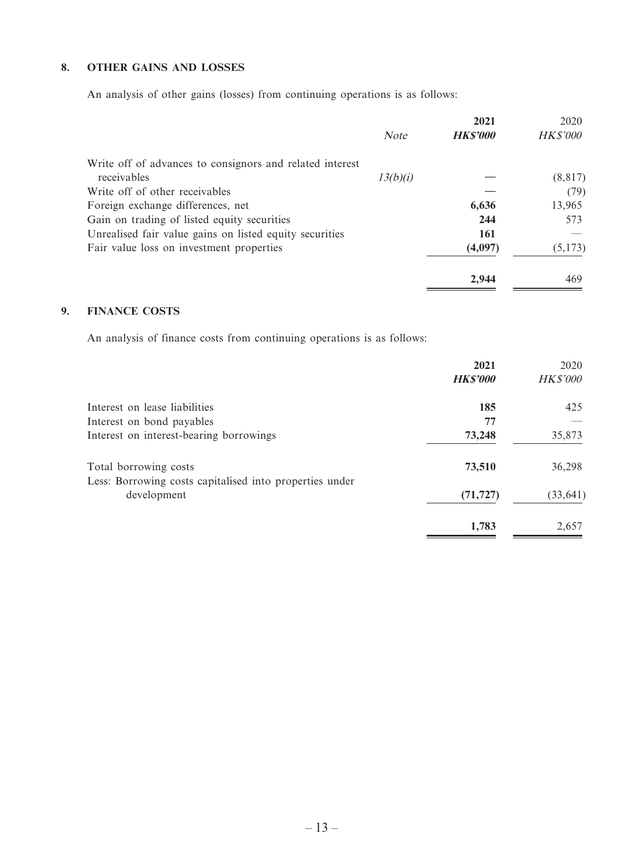### **8. OTHER GAINS AND LOSSES**

An analysis of other gains (losses) from continuing operations is as follows:

|                                                          |             | 2021            | 2020            |
|----------------------------------------------------------|-------------|-----------------|-----------------|
|                                                          | <b>Note</b> | <b>HK\$'000</b> | <b>HK\$'000</b> |
| Write off of advances to consignors and related interest |             |                 |                 |
| receivables                                              | 13(b)(i)    |                 | (8, 817)        |
| Write off of other receivables                           |             |                 | (79)            |
| Foreign exchange differences, net                        |             | 6,636           | 13,965          |
| Gain on trading of listed equity securities              |             | 244             | 573             |
| Unrealised fair value gains on listed equity securities  |             | 161             |                 |
| Fair value loss on investment properties                 |             | (4,097)         | (5,173)         |
|                                                          |             | 2.944           | 469             |

# **9. FINANCE COSTS**

An analysis of finance costs from continuing operations is as follows:

|                                                         | 2021            | 2020            |
|---------------------------------------------------------|-----------------|-----------------|
|                                                         | <b>HK\$'000</b> | <b>HK\$'000</b> |
| Interest on lease liabilities                           | 185             | 425             |
| Interest on bond payables                               | 77              |                 |
| Interest on interest-bearing borrowings                 | 73,248          | 35,873          |
| Total borrowing costs                                   | 73,510          | 36,298          |
| Less: Borrowing costs capitalised into properties under |                 |                 |
| development                                             | (71, 727)       | (33, 641)       |
|                                                         | 1,783           | 2,657           |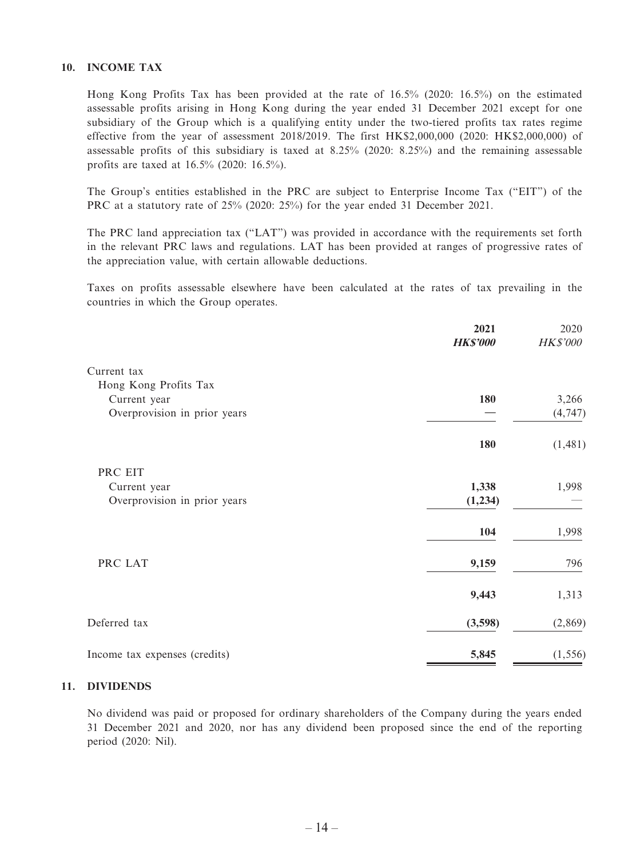### **10. INCOME TAX**

Hong Kong Profits Tax has been provided at the rate of 16.5% (2020: 16.5%) on the estimated assessable profits arising in Hong Kong during the year ended 31 December 2021 except for one subsidiary of the Group which is a qualifying entity under the two-tiered profits tax rates regime effective from the year of assessment 2018/2019. The first HK\$2,000,000 (2020: HK\$2,000,000) of assessable profits of this subsidiary is taxed at 8.25% (2020: 8.25%) and the remaining assessable profits are taxed at 16.5% (2020: 16.5%).

The Group's entities established in the PRC are subject to Enterprise Income Tax ("EIT") of the PRC at a statutory rate of 25% (2020: 25%) for the year ended 31 December 2021.

The PRC land appreciation tax ("LAT") was provided in accordance with the requirements set forth in the relevant PRC laws and regulations. LAT has been provided at ranges of progressive rates of the appreciation value, with certain allowable deductions.

Taxes on profits assessable elsewhere have been calculated at the rates of tax prevailing in the countries in which the Group operates.

|                               | 2021<br><b>HK\$'000</b> | 2020<br><b>HK\$'000</b> |
|-------------------------------|-------------------------|-------------------------|
| Current tax                   |                         |                         |
| Hong Kong Profits Tax         |                         |                         |
| Current year                  | 180                     | 3,266                   |
| Overprovision in prior years  |                         | (4, 747)                |
|                               | 180                     | (1, 481)                |
| PRC EIT                       |                         |                         |
| Current year                  | 1,338                   | 1,998                   |
| Overprovision in prior years  | (1,234)                 |                         |
|                               | 104                     | 1,998                   |
| PRC LAT                       | 9,159                   | 796                     |
|                               | 9,443                   | 1,313                   |
| Deferred tax                  | (3,598)                 | (2,869)                 |
| Income tax expenses (credits) | 5,845                   | (1, 556)                |

#### **11. DIVIDENDS**

No dividend was paid or proposed for ordinary shareholders of the Company during the years ended 31 December 2021 and 2020, nor has any dividend been proposed since the end of the reporting period (2020: Nil).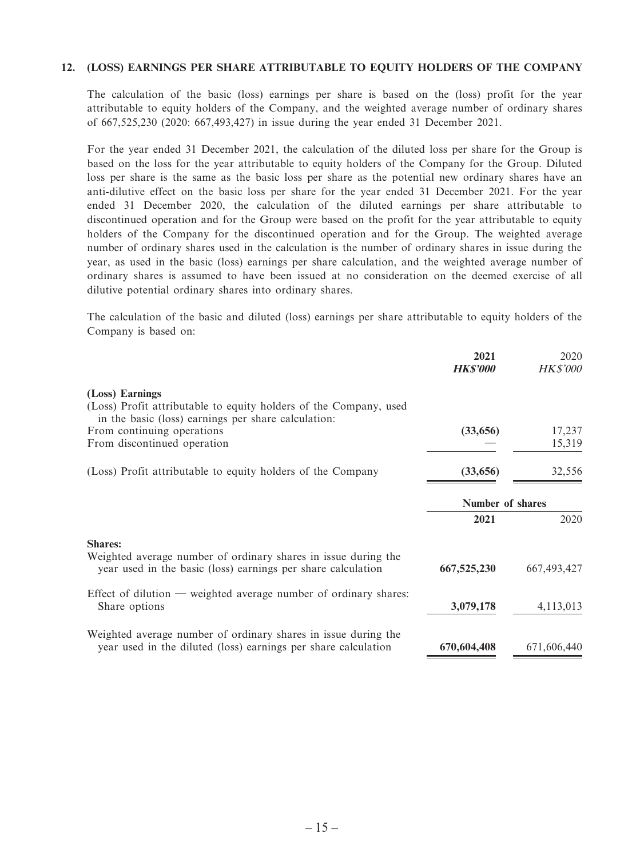#### **12. (LOSS) EARNINGS PER SHARE ATTRIBUTABLE TO EQUITY HOLDERS OF THE COMPANY**

The calculation of the basic (loss) earnings per share is based on the (loss) profit for the year attributable to equity holders of the Company, and the weighted average number of ordinary shares of 667,525,230 (2020: 667,493,427) in issue during the year ended 31 December 2021.

For the year ended 31 December 2021, the calculation of the diluted loss per share for the Group is based on the loss for the year attributable to equity holders of the Company for the Group. Diluted loss per share is the same as the basic loss per share as the potential new ordinary shares have an anti-dilutive effect on the basic loss per share for the year ended 31 December 2021. For the year ended 31 December 2020, the calculation of the diluted earnings per share attributable to discontinued operation and for the Group were based on the profit for the year attributable to equity holders of the Company for the discontinued operation and for the Group. The weighted average number of ordinary shares used in the calculation is the number of ordinary shares in issue during the year, as used in the basic (loss) earnings per share calculation, and the weighted average number of ordinary shares is assumed to have been issued at no consideration on the deemed exercise of all dilutive potential ordinary shares into ordinary shares.

The calculation of the basic and diluted (loss) earnings per share attributable to equity holders of the Company is based on:

|                                                                                                                                             | 2021<br><b>HKS'000</b> | 2020<br><i>HK\$'000</i> |
|---------------------------------------------------------------------------------------------------------------------------------------------|------------------------|-------------------------|
| (Loss) Earnings<br>(Loss) Profit attributable to equity holders of the Company, used<br>in the basic (loss) earnings per share calculation: |                        |                         |
| From continuing operations                                                                                                                  | (33,656)               | 17,237                  |
| From discontinued operation                                                                                                                 |                        | 15,319                  |
| (Loss) Profit attributable to equity holders of the Company                                                                                 | (33, 656)              | 32,556                  |
|                                                                                                                                             | Number of shares       |                         |
|                                                                                                                                             | 2021                   | 2020                    |
| <b>Shares:</b>                                                                                                                              |                        |                         |
| Weighted average number of ordinary shares in issue during the<br>year used in the basic (loss) earnings per share calculation              | 667,525,230            | 667, 493, 427           |
| Effect of dilution — weighted average number of ordinary shares:<br>Share options                                                           | 3,079,178              | 4,113,013               |
| Weighted average number of ordinary shares in issue during the<br>year used in the diluted (loss) earnings per share calculation            | 670,604,408            | 671,606,440             |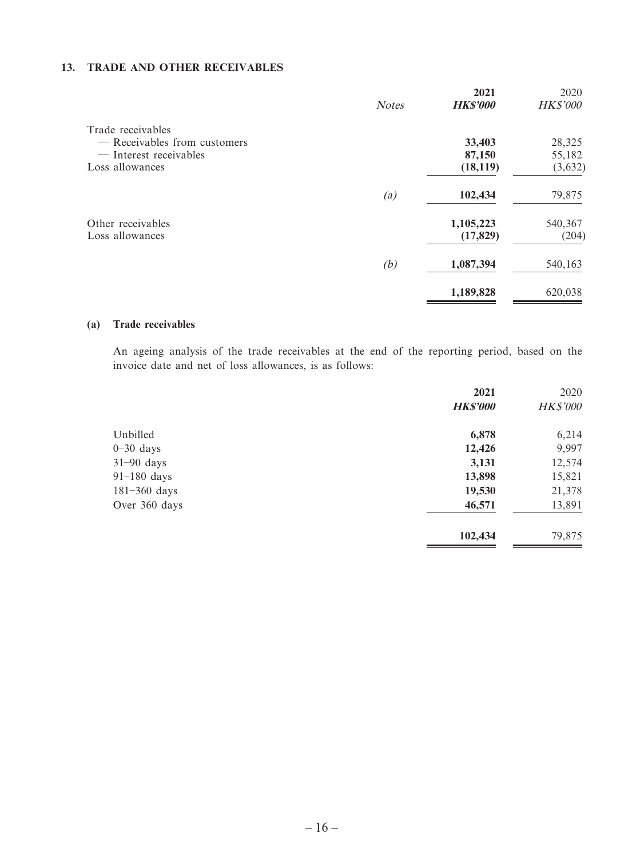### **13. TRADE AND OTHER RECEIVABLES**

|                              | <b>Notes</b> | 2021<br><b>HK\$'000</b> | 2020<br><b>HK\$'000</b> |
|------------------------------|--------------|-------------------------|-------------------------|
| Trade receivables            |              |                         |                         |
| — Receivables from customers |              | 33,403                  | 28,325                  |
| — Interest receivables       |              | 87,150                  | 55,182                  |
| Loss allowances              |              | (18, 119)               | (3,632)                 |
|                              | (a)          | 102,434                 | 79,875                  |
| Other receivables            |              | 1,105,223               | 540,367                 |
| Loss allowances              |              | (17, 829)               | (204)                   |
|                              | (b)          | 1,087,394               | 540,163                 |
|                              |              | 1,189,828               | 620,038                 |

#### **(a) Trade receivables**

An ageing analysis of the trade receivables at the end of the reporting period, based on the invoice date and net of loss allowances, is as follows:

|                  | 2021            | 2020            |
|------------------|-----------------|-----------------|
|                  | <b>HK\$'000</b> | <b>HK\$'000</b> |
| Unbilled         | 6,878           | 6,214           |
| $0-30$ days      | 12,426          | 9,997           |
| $31-90$ days     | 3,131           | 12,574          |
| $91-180$ days    | 13,898          | 15,821          |
| $181 - 360$ days | 19,530          | 21,378          |
| Over 360 days    | 46,571          | 13,891          |
|                  | 102,434         | 79,875          |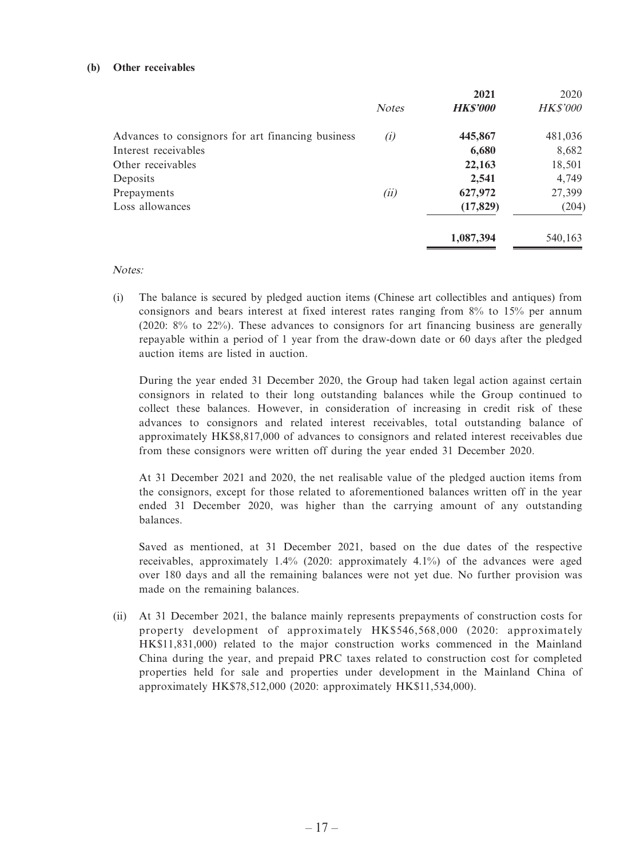#### **(b) Other receivables**

|                                                   |              | 2021            | 2020            |
|---------------------------------------------------|--------------|-----------------|-----------------|
|                                                   | <b>Notes</b> | <b>HK\$'000</b> | <b>HK\$'000</b> |
| Advances to consignors for art financing business | (i)          | 445,867         | 481,036         |
| Interest receivables                              |              | 6,680           | 8,682           |
| Other receivables                                 |              | 22,163          | 18,501          |
| Deposits                                          |              | 2,541           | 4,749           |
| Prepayments                                       | (ii)         | 627,972         | 27,399          |
| Loss allowances                                   |              | (17, 829)       | (204)           |
|                                                   |              | 1,087,394       | 540,163         |

Notes:

(i) The balance is secured by pledged auction items (Chinese art collectibles and antiques) from consignors and bears interest at fixed interest rates ranging from 8% to 15% per annum (2020: 8% to 22%). These advances to consignors for art financing business are generally repayable within a period of 1 year from the draw-down date or 60 days after the pledged auction items are listed in auction.

During the year ended 31 December 2020, the Group had taken legal action against certain consignors in related to their long outstanding balances while the Group continued to collect these balances. However, in consideration of increasing in credit risk of these advances to consignors and related interest receivables, total outstanding balance of approximately HK\$8,817,000 of advances to consignors and related interest receivables due from these consignors were written off during the year ended 31 December 2020.

At 31 December 2021 and 2020, the net realisable value of the pledged auction items from the consignors, except for those related to aforementioned balances written off in the year ended 31 December 2020, was higher than the carrying amount of any outstanding balances.

Saved as mentioned, at 31 December 2021, based on the due dates of the respective receivables, approximately 1.4% (2020: approximately 4.1%) of the advances were aged over 180 days and all the remaining balances were not yet due. No further provision was made on the remaining balances.

(ii) At 31 December 2021, the balance mainly represents prepayments of construction costs for property development of approximately HK\$546,568,000 (2020: approximately HK\$11,831,000) related to the major construction works commenced in the Mainland China during the year, and prepaid PRC taxes related to construction cost for completed properties held for sale and properties under development in the Mainland China of approximately HK\$78,512,000 (2020: approximately HK\$11,534,000).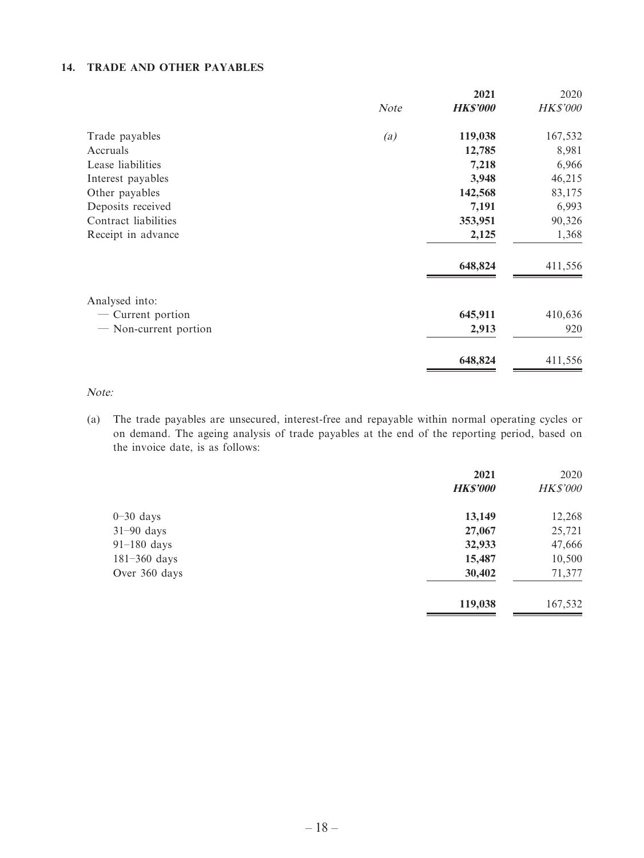### **14. TRADE AND OTHER PAYABLES**

|                       |      | 2021            | 2020            |
|-----------------------|------|-----------------|-----------------|
|                       | Note | <b>HK\$'000</b> | <b>HK\$'000</b> |
| Trade payables        | (a)  | 119,038         | 167,532         |
| Accruals              |      | 12,785          | 8,981           |
| Lease liabilities     |      | 7,218           | 6,966           |
| Interest payables     |      | 3,948           | 46,215          |
| Other payables        |      | 142,568         | 83,175          |
| Deposits received     |      | 7,191           | 6,993           |
| Contract liabilities  |      | 353,951         | 90,326          |
| Receipt in advance    |      | 2,125           | 1,368           |
|                       |      | 648,824         | 411,556         |
| Analysed into:        |      |                 |                 |
| — Current portion     |      | 645,911         | 410,636         |
| - Non-current portion |      | 2,913           | 920             |
|                       |      | 648,824         | 411,556         |
|                       |      |                 |                 |

Note:

(a) The trade payables are unsecured, interest-free and repayable within normal operating cycles or on demand. The ageing analysis of trade payables at the end of the reporting period, based on the invoice date, is as follows:

|                  | 2021<br><b>HKS'000</b> | 2020<br><b>HK\$'000</b> |
|------------------|------------------------|-------------------------|
| $0-30$ days      | 13,149                 | 12,268                  |
| $31-90$ days     | 27,067                 | 25,721                  |
| $91-180$ days    | 32,933                 | 47,666                  |
| $181 - 360$ days | 15,487                 | 10,500                  |
| Over 360 days    | 30,402                 | 71,377                  |
|                  | 119,038                | 167,532                 |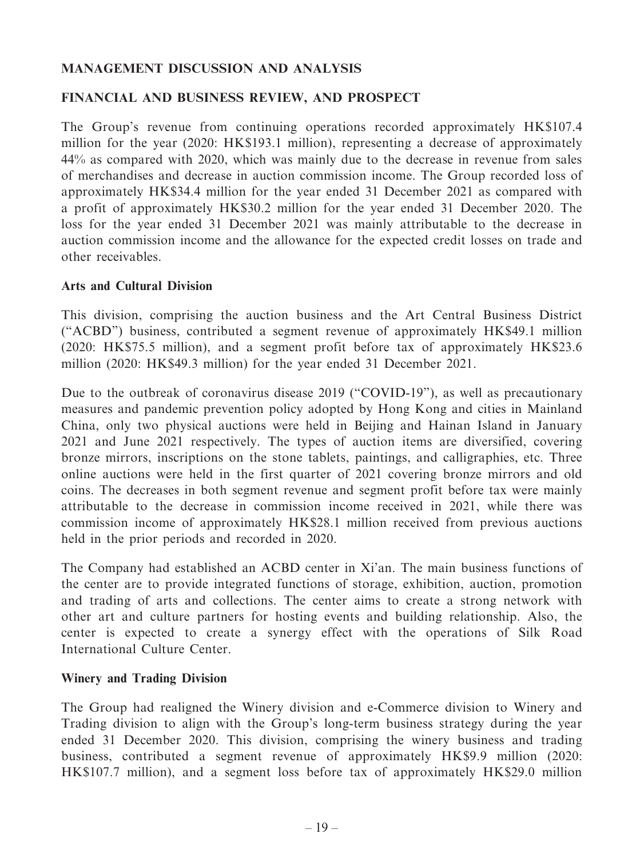# **MANAGEMENT DISCUSSION AND ANALYSIS**

# **FINANCIAL AND BUSINESS REVIEW, AND PROSPECT**

The Group's revenue from continuing operations recorded approximately HK\$107.4 million for the year (2020: HK\$193.1 million), representing a decrease of approximately 44% as compared with 2020, which was mainly due to the decrease in revenue from sales of merchandises and decrease in auction commission income. The Group recorded loss of approximately HK\$34.4 million for the year ended 31 December 2021 as compared with a profit of approximately HK\$30.2 million for the year ended 31 December 2020. The loss for the year ended 31 December 2021 was mainly attributable to the decrease in auction commission income and the allowance for the expected credit losses on trade and other receivables.

# **Arts and Cultural Division**

This division, comprising the auction business and the Art Central Business District ("ACBD") business, contributed a segment revenue of approximately HK\$49.1 million (2020: HK\$75.5 million), and a segment profit before tax of approximately HK\$23.6 million (2020: HK\$49.3 million) for the year ended 31 December 2021.

Due to the outbreak of coronavirus disease 2019 ("COVID-19"), as well as precautionary measures and pandemic prevention policy adopted by Hong Kong and cities in Mainland China, only two physical auctions were held in Beijing and Hainan Island in January 2021 and June 2021 respectively. The types of auction items are diversified, covering bronze mirrors, inscriptions on the stone tablets, paintings, and calligraphies, etc. Three online auctions were held in the first quarter of 2021 covering bronze mirrors and old coins. The decreases in both segment revenue and segment profit before tax were mainly attributable to the decrease in commission income received in 2021, while there was commission income of approximately HK\$28.1 million received from previous auctions held in the prior periods and recorded in 2020.

The Company had established an ACBD center in Xi'an. The main business functions of the center are to provide integrated functions of storage, exhibition, auction, promotion and trading of arts and collections. The center aims to create a strong network with other art and culture partners for hosting events and building relationship. Also, the center is expected to create a synergy effect with the operations of Silk Road International Culture Center.

# **Winery and Trading Division**

The Group had realigned the Winery division and e-Commerce division to Winery and Trading division to align with the Group's long-term business strategy during the year ended 31 December 2020. This division, comprising the winery business and trading business, contributed a segment revenue of approximately HK\$9.9 million (2020: HK\$107.7 million), and a segment loss before tax of approximately HK\$29.0 million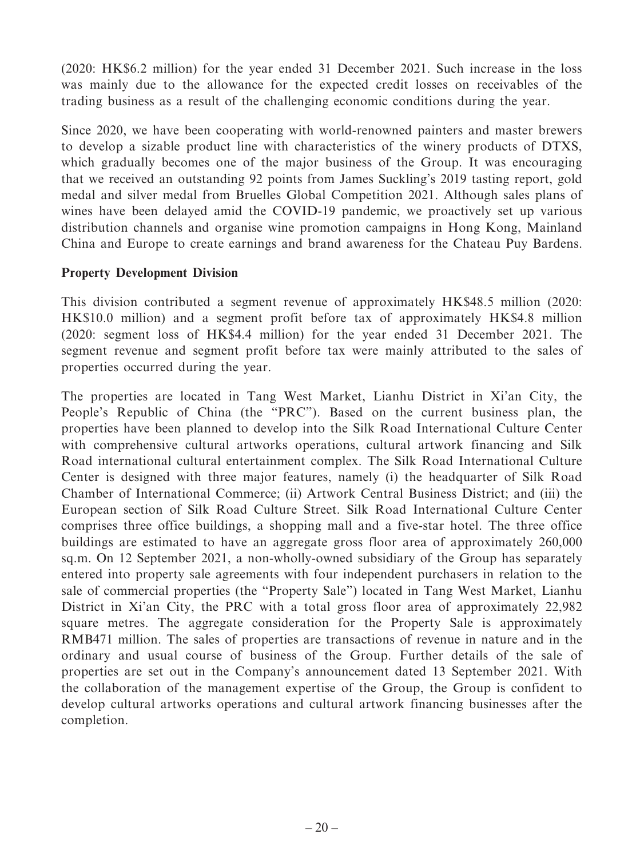(2020: HK\$6.2 million) for the year ended 31 December 2021. Such increase in the loss was mainly due to the allowance for the expected credit losses on receivables of the trading business as a result of the challenging economic conditions during the year.

Since 2020, we have been cooperating with world-renowned painters and master brewers to develop a sizable product line with characteristics of the winery products of DTXS, which gradually becomes one of the major business of the Group. It was encouraging that we received an outstanding 92 points from James Suckling's 2019 tasting report, gold medal and silver medal from Bruelles Global Competition 2021. Although sales plans of wines have been delayed amid the COVID-19 pandemic, we proactively set up various distribution channels and organise wine promotion campaigns in Hong Kong, Mainland China and Europe to create earnings and brand awareness for the Chateau Puy Bardens.

# **Property Development Division**

This division contributed a segment revenue of approximately HK\$48.5 million (2020: HK\$10.0 million) and a segment profit before tax of approximately HK\$4.8 million (2020: segment loss of HK\$4.4 million) for the year ended 31 December 2021. The segment revenue and segment profit before tax were mainly attributed to the sales of properties occurred during the year.

The properties are located in Tang West Market, Lianhu District in Xi'an City, the People's Republic of China (the "PRC"). Based on the current business plan, the properties have been planned to develop into the Silk Road International Culture Center with comprehensive cultural artworks operations, cultural artwork financing and Silk Road international cultural entertainment complex. The Silk Road International Culture Center is designed with three major features, namely (i) the headquarter of Silk Road Chamber of International Commerce; (ii) Artwork Central Business District; and (iii) the European section of Silk Road Culture Street. Silk Road International Culture Center comprises three office buildings, a shopping mall and a five-star hotel. The three office buildings are estimated to have an aggregate gross floor area of approximately 260,000 sq.m. On 12 September 2021, a non-wholly-owned subsidiary of the Group has separately entered into property sale agreements with four independent purchasers in relation to the sale of commercial properties (the "Property Sale") located in Tang West Market, Lianhu District in Xi'an City, the PRC with a total gross floor area of approximately 22,982 square metres. The aggregate consideration for the Property Sale is approximately RMB471 million. The sales of properties are transactions of revenue in nature and in the ordinary and usual course of business of the Group. Further details of the sale of properties are set out in the Company's announcement dated 13 September 2021. With the collaboration of the management expertise of the Group, the Group is confident to develop cultural artworks operations and cultural artwork financing businesses after the completion.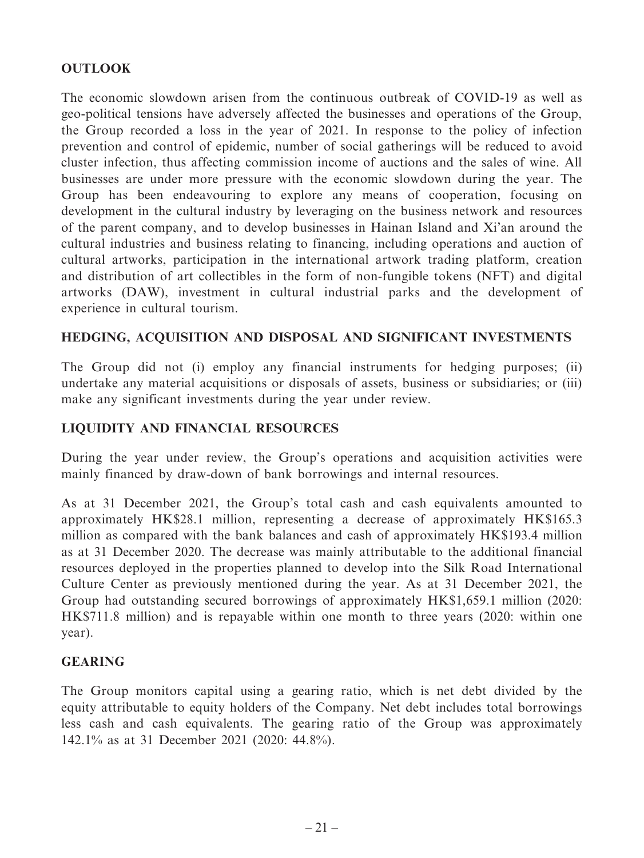# **OUTLOOK**

The economic slowdown arisen from the continuous outbreak of COVID-19 as well as geo-political tensions have adversely affected the businesses and operations of the Group, the Group recorded a loss in the year of 2021. In response to the policy of infection prevention and control of epidemic, number of social gatherings will be reduced to avoid cluster infection, thus affecting commission income of auctions and the sales of wine. All businesses are under more pressure with the economic slowdown during the year. The Group has been endeavouring to explore any means of cooperation, focusing on development in the cultural industry by leveraging on the business network and resources of the parent company, and to develop businesses in Hainan Island and Xi'an around the cultural industries and business relating to financing, including operations and auction of cultural artworks, participation in the international artwork trading platform, creation and distribution of art collectibles in the form of non-fungible tokens (NFT) and digital artworks (DAW), investment in cultural industrial parks and the development of experience in cultural tourism.

# **HEDGING, ACQUISITION AND DISPOSAL AND SIGNIFICANT INVESTMENTS**

The Group did not (i) employ any financial instruments for hedging purposes; (ii) undertake any material acquisitions or disposals of assets, business or subsidiaries; or (iii) make any significant investments during the year under review.

# **LIQUIDITY AND FINANCIAL RESOURCES**

During the year under review, the Group's operations and acquisition activities were mainly financed by draw-down of bank borrowings and internal resources.

As at 31 December 2021, the Group's total cash and cash equivalents amounted to approximately HK\$28.1 million, representing a decrease of approximately HK\$165.3 million as compared with the bank balances and cash of approximately HK\$193.4 million as at 31 December 2020. The decrease was mainly attributable to the additional financial resources deployed in the properties planned to develop into the Silk Road International Culture Center as previously mentioned during the year. As at 31 December 2021, the Group had outstanding secured borrowings of approximately HK\$1,659.1 million (2020: HK\$711.8 million) and is repayable within one month to three years (2020: within one year).

# **GEARING**

The Group monitors capital using a gearing ratio, which is net debt divided by the equity attributable to equity holders of the Company. Net debt includes total borrowings less cash and cash equivalents. The gearing ratio of the Group was approximately 142.1% as at 31 December 2021 (2020: 44.8%).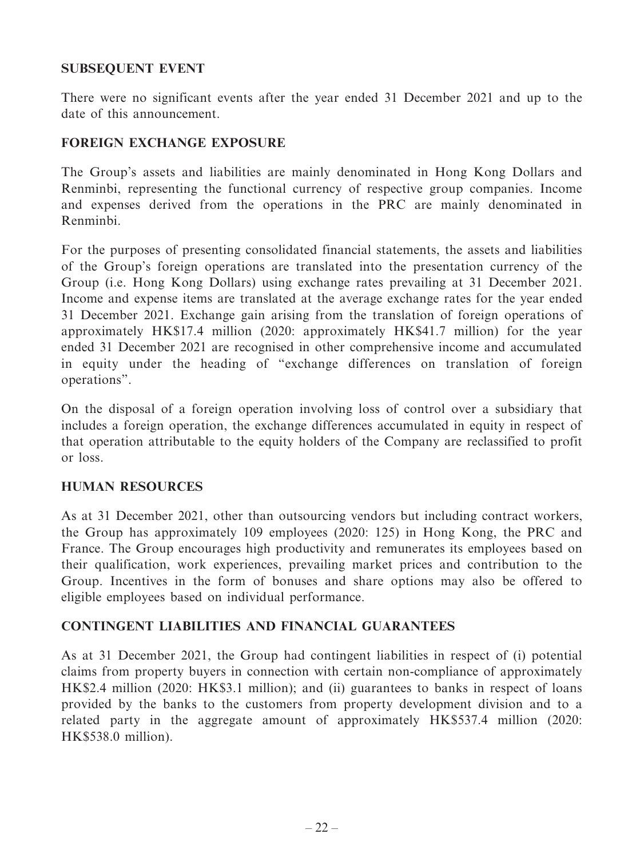# **SUBSEQUENT EVENT**

There were no significant events after the year ended 31 December 2021 and up to the date of this announcement.

# **FOREIGN EXCHANGE EXPOSURE**

The Group's assets and liabilities are mainly denominated in Hong Kong Dollars and Renminbi, representing the functional currency of respective group companies. Income and expenses derived from the operations in the PRC are mainly denominated in Renminbi.

For the purposes of presenting consolidated financial statements, the assets and liabilities of the Group's foreign operations are translated into the presentation currency of the Group (i.e. Hong Kong Dollars) using exchange rates prevailing at 31 December 2021. Income and expense items are translated at the average exchange rates for the year ended 31 December 2021. Exchange gain arising from the translation of foreign operations of approximately HK\$17.4 million (2020: approximately HK\$41.7 million) for the year ended 31 December 2021 are recognised in other comprehensive income and accumulated in equity under the heading of "exchange differences on translation of foreign operations".

On the disposal of a foreign operation involving loss of control over a subsidiary that includes a foreign operation, the exchange differences accumulated in equity in respect of that operation attributable to the equity holders of the Company are reclassified to profit or loss.

# **HUMAN RESOURCES**

As at 31 December 2021, other than outsourcing vendors but including contract workers, the Group has approximately 109 employees (2020: 125) in Hong Kong, the PRC and France. The Group encourages high productivity and remunerates its employees based on their qualification, work experiences, prevailing market prices and contribution to the Group. Incentives in the form of bonuses and share options may also be offered to eligible employees based on individual performance.

# **CONTINGENT LIABILITIES AND FINANCIAL GUARANTEES**

As at 31 December 2021, the Group had contingent liabilities in respect of (i) potential claims from property buyers in connection with certain non-compliance of approximately HK\$2.4 million (2020: HK\$3.1 million); and (ii) guarantees to banks in respect of loans provided by the banks to the customers from property development division and to a related party in the aggregate amount of approximately HK\$537.4 million (2020: HK\$538.0 million).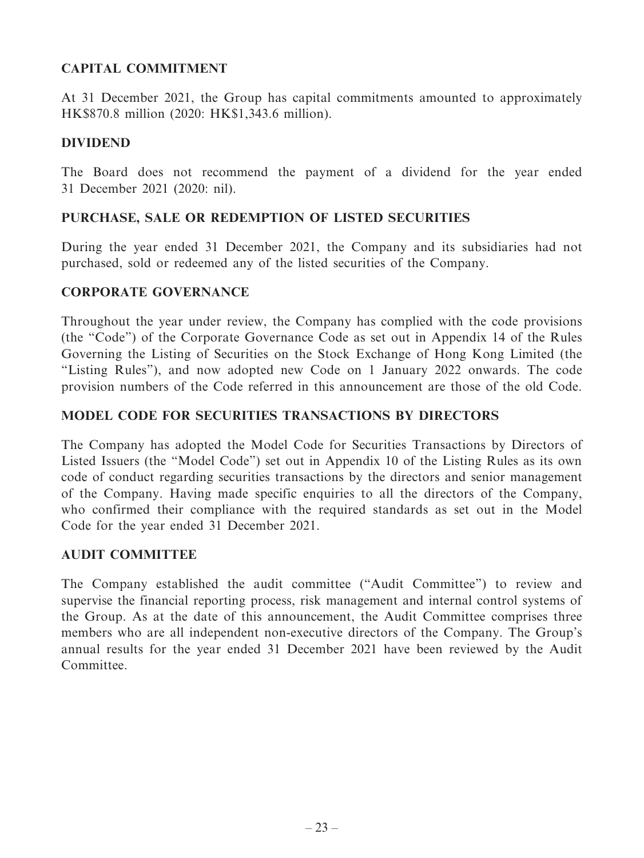# **CAPITAL COMMITMENT**

At 31 December 2021, the Group has capital commitments amounted to approximately HK\$870.8 million (2020: HK\$1,343.6 million).

# **DIVIDEND**

The Board does not recommend the payment of a dividend for the year ended 31 December 2021 (2020: nil).

# **PURCHASE, SALE OR REDEMPTION OF LISTED SECURITIES**

During the year ended 31 December 2021, the Company and its subsidiaries had not purchased, sold or redeemed any of the listed securities of the Company.

# **CORPORATE GOVERNANCE**

Throughout the year under review, the Company has complied with the code provisions (the "Code") of the Corporate Governance Code as set out in Appendix 14 of the Rules Governing the Listing of Securities on the Stock Exchange of Hong Kong Limited (the "Listing Rules"), and now adopted new Code on 1 January 2022 onwards. The code provision numbers of the Code referred in this announcement are those of the old Code.

# **MODEL CODE FOR SECURITIES TRANSACTIONS BY DIRECTORS**

The Company has adopted the Model Code for Securities Transactions by Directors of Listed Issuers (the "Model Code") set out in Appendix 10 of the Listing Rules as its own code of conduct regarding securities transactions by the directors and senior management of the Company. Having made specific enquiries to all the directors of the Company, who confirmed their compliance with the required standards as set out in the Model Code for the year ended 31 December 2021.

# **AUDIT COMMITTEE**

The Company established the audit committee ("Audit Committee") to review and supervise the financial reporting process, risk management and internal control systems of the Group. As at the date of this announcement, the Audit Committee comprises three members who are all independent non-executive directors of the Company. The Group's annual results for the year ended 31 December 2021 have been reviewed by the Audit Committee.